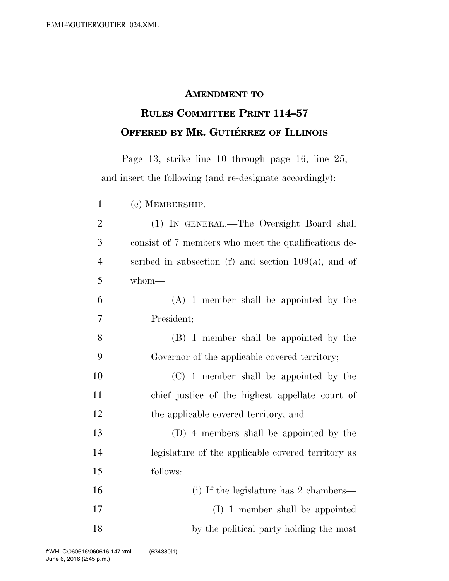## **AMENDMENT TO**

## **RULES COMMITTEE PRINT 114–57 OFFERED BY MR. GUTIÉRREZ OF ILLINOIS**

Page 13, strike line 10 through page 16, line 25, and insert the following (and re-designate accordingly):

 (e) MEMBERSHIP.— (1) IN GENERAL.—The Oversight Board shall consist of 7 members who meet the qualifications de- scribed in subsection (f) and section 109(a), and of whom— (A) 1 member shall be appointed by the President; (B) 1 member shall be appointed by the Governor of the applicable covered territory; (C) 1 member shall be appointed by the chief justice of the highest appellate court of the applicable covered territory; and (D) 4 members shall be appointed by the legislature of the applicable covered territory as follows: (i) If the legislature has 2 chambers— (I) 1 member shall be appointed 18 by the political party holding the most